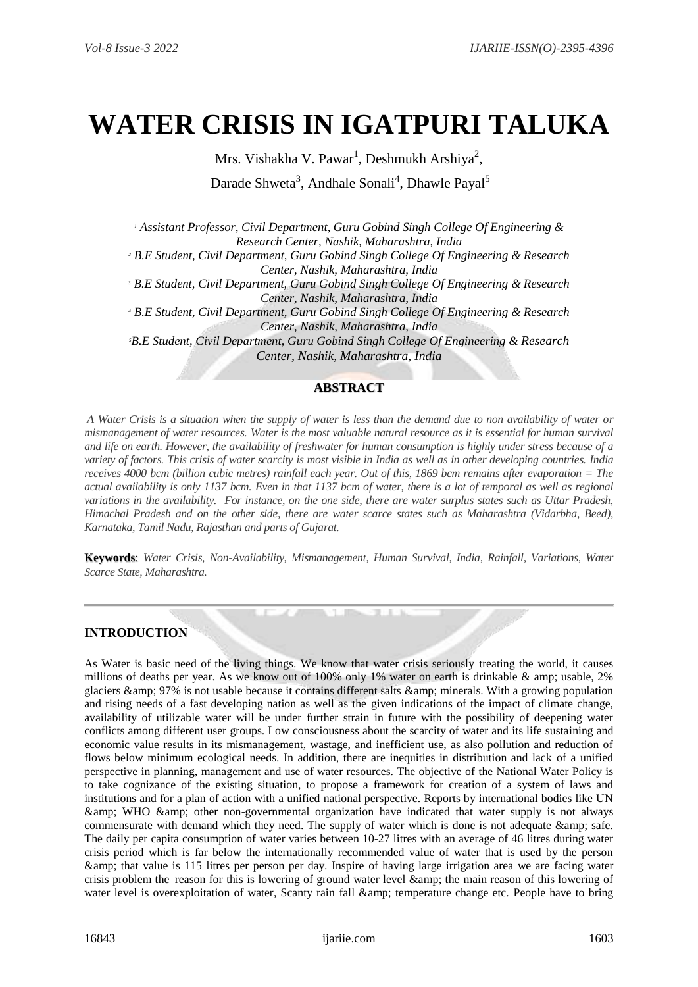# **WATER CRISIS IN IGATPURI TALUKA**

Mrs. Vishakha V. Pawar $^1$ , Deshmukh Arshiya $^2$ , Darade Shweta<sup>3</sup>, Andhale Sonali<sup>4</sup>, Dhawle Payal<sup>5</sup>

*<sup>1</sup> Assistant Professor, Civil Department, Guru Gobind Singh College Of Engineering & Research Center, Nashik, Maharashtra, India <sup>2</sup> B.E Student, Civil Department, Guru Gobind Singh College Of Engineering & Research Center, Nashik, Maharashtra, India <sup>3</sup> B.E Student, Civil Department, Guru Gobind Singh College Of Engineering & Research Center, Nashik, Maharashtra, India <sup>4</sup> B.E Student, Civil Department, Guru Gobind Singh College Of Engineering & Research Center, Nashik, Maharashtra, India <sup>5</sup>B.E Student, Civil Department, Guru Gobind Singh College Of Engineering & Research Center, Nashik, Maharashtra, India*

#### **ABSTRACT**

*A Water Crisis is a situation when the supply of water is less than the demand due to non availability of water or mismanagement of water resources. Water is the most valuable natural resource as it is essential for human survival and life on earth. However, the availability of freshwater for human consumption is highly under stress because of a variety of factors. This crisis of water scarcity is most visible in India as well as in other developing countries. India receives 4000 bcm (billion cubic metres) rainfall each year. Out of this, 1869 bcm remains after evaporation = The actual availability is only 1137 bcm. Even in that 1137 bcm of water, there is a lot of temporal as well as regional variations in the availability. For instance, on the one side, there are water surplus states such as Uttar Pradesh, Himachal Pradesh and on the other side, there are water scarce states such as Maharashtra (Vidarbha, Beed), Karnataka, Tamil Nadu, Rajasthan and parts of Gujarat.*

**Keywords**: *Water Crisis, Non-Availability, Mismanagement, Human Survival, India, Rainfall, Variations, Water Scarce State, Maharashtra.*

#### **INTRODUCTION**

As Water is basic need of the living things. We know that water crisis seriously treating the world, it causes millions of deaths per year. As we know out of 100% only 1% water on earth is drinkable & amp; usable, 2% glaciers & amp; 97% is not usable because it contains different salts & amp; minerals. With a growing population and rising needs of a fast developing nation as well as the given indications of the impact of climate change, availability of utilizable water will be under further strain in future with the possibility of deepening water conflicts among different user groups. Low consciousness about the scarcity of water and its life sustaining and economic value results in its mismanagement, wastage, and inefficient use, as also pollution and reduction of flows below minimum ecological needs. In addition, there are inequities in distribution and lack of a unified perspective in planning, management and use of water resources. The objective of the National Water Policy is to take cognizance of the existing situation, to propose a framework for creation of a system of laws and institutions and for a plan of action with a unified national perspective. Reports by international bodies like UN & WHO & other non-governmental organization have indicated that water supply is not always commensurate with demand which they need. The supply of water which is done is not adequate & amp; safe. The daily per capita consumption of water varies between 10-27 litres with an average of 46 litres during water crisis period which is far below the internationally recommended value of water that is used by the person & that value is 115 litres per person per day. Inspire of having large irrigation area we are facing water crisis problem the reason for this is lowering of ground water level & the main reason of this lowering of water level is overexploitation of water, Scanty rain fall & amp; temperature change etc. People have to bring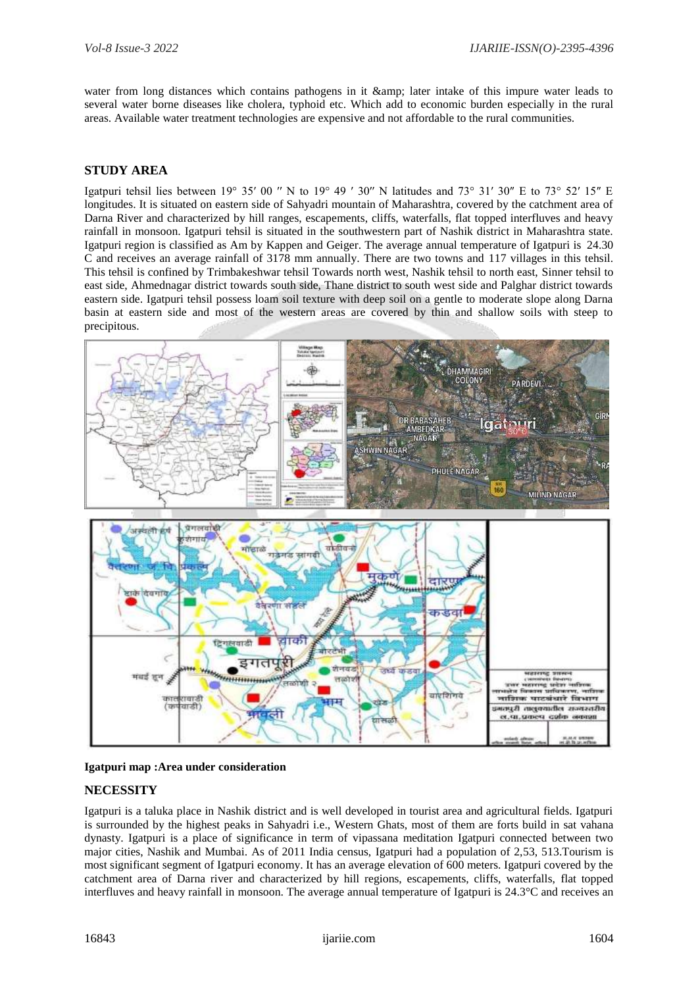water from long distances which contains pathogens in it & amp; later intake of this impure water leads to several water borne diseases like cholera, typhoid etc. Which add to economic burden especially in the rural areas. Available water treatment technologies are expensive and not affordable to the rural communities.

#### **STUDY AREA**

Igatpuri tehsil lies between 19° 35' 00 " N to 19° 49 ' 30" N latitudes and 73° 31' 30" E to 73° 52' 15" E longitudes. It is situated on eastern side of Sahyadri mountain of Maharashtra, covered by the catchment area of Darna River and characterized by hill ranges, escapements, cliffs, waterfalls, flat topped interfluves and heavy rainfall in monsoon. Igatpuri tehsil is situated in the southwestern part of Nashik district in Maharashtra state. Igatpuri region is classified as Am by Kappen and Geiger. The average annual temperature of Igatpuri is 24.30 C and receives an average rainfall of 3178 mm annually. There are two towns and 117 villages in this tehsil. This tehsil is confined by Trimbakeshwar tehsil Towards north west, Nashik tehsil to north east, Sinner tehsil to east side, Ahmednagar district towards south side, Thane district to south west side and Palghar district towards eastern side. Igatpuri tehsil possess loam soil texture with deep soil on a gentle to moderate slope along Darna basin at eastern side and most of the western areas are covered by thin and shallow soils with steep to precipitous.



#### **Igatpuri map :Area under consideration**

#### **NECESSITY**

Igatpuri is a taluka place in Nashik district and is well developed in tourist area and agricultural fields. Igatpuri is surrounded by the highest peaks in Sahyadri i.e., Western Ghats, most of them are forts build in sat vahana dynasty. Igatpuri is a place of significance in term of vipassana meditation Igatpuri connected between two major cities, Nashik and Mumbai. As of 2011 India census, Igatpuri had a population of 2,53, 513.Tourism is most significant segment of Igatpuri economy. It has an average elevation of 600 meters. Igatpuri covered by the catchment area of Darna river and characterized by hill regions, escapements, cliffs, waterfalls, flat topped interfluves and heavy rainfall in monsoon. The average annual temperature of Igatpuri is 24.3°C and receives an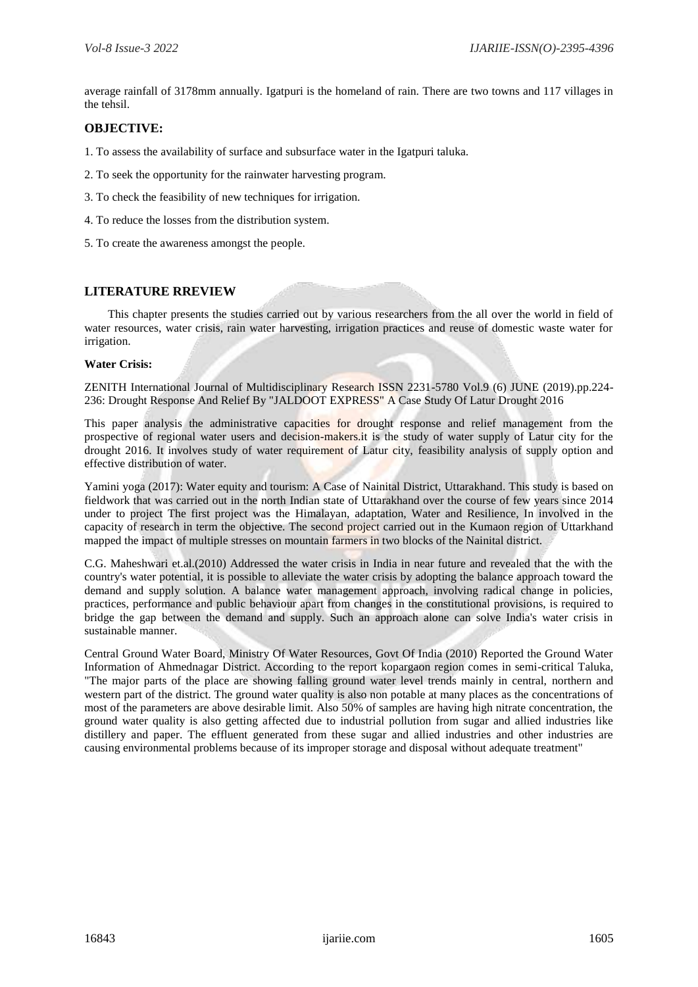average rainfall of 3178mm annually. Igatpuri is the homeland of rain. There are two towns and 117 villages in the tehsil.

#### **OBJECTIVE:**

- 1. To assess the availability of surface and subsurface water in the Igatpuri taluka.
- 2. To seek the opportunity for the rainwater harvesting program.
- 3. To check the feasibility of new techniques for irrigation.
- 4. To reduce the losses from the distribution system.
- 5. To create the awareness amongst the people.

#### **LITERATURE RREVIEW**

This chapter presents the studies carried out by various researchers from the all over the world in field of water resources, water crisis, rain water harvesting, irrigation practices and reuse of domestic waste water for irrigation.

#### **Water Crisis:**

ZENITH International Journal of Multidisciplinary Research ISSN 2231-5780 Vol.9 (6) JUNE (2019).pp.224- 236: Drought Response And Relief By "JALDOOT EXPRESS" A Case Study Of Latur Drought 2016

This paper analysis the administrative capacities for drought response and relief management from the prospective of regional water users and decision-makers.it is the study of water supply of Latur city for the drought 2016. It involves study of water requirement of Latur city, feasibility analysis of supply option and effective distribution of water.

Yamini yoga (2017): Water equity and tourism: A Case of Nainital District, Uttarakhand. This study is based on fieldwork that was carried out in the north Indian state of Uttarakhand over the course of few years since 2014 under to project The first project was the Himalayan, adaptation, Water and Resilience, In involved in the capacity of research in term the objective. The second project carried out in the Kumaon region of Uttarkhand mapped the impact of multiple stresses on mountain farmers in two blocks of the Nainital district.

C.G. Maheshwari et.al.(2010) Addressed the water crisis in India in near future and revealed that the with the country's water potential, it is possible to alleviate the water crisis by adopting the balance approach toward the demand and supply solution. A balance water management approach, involving radical change in policies, practices, performance and public behaviour apart from changes in the constitutional provisions, is required to bridge the gap between the demand and supply. Such an approach alone can solve India's water crisis in sustainable manner.

Central Ground Water Board, Ministry Of Water Resources, Govt Of India (2010) Reported the Ground Water Information of Ahmednagar District. According to the report kopargaon region comes in semi-critical Taluka, "The major parts of the place are showing falling ground water level trends mainly in central, northern and western part of the district. The ground water quality is also non potable at many places as the concentrations of most of the parameters are above desirable limit. Also 50% of samples are having high nitrate concentration, the ground water quality is also getting affected due to industrial pollution from sugar and allied industries like distillery and paper. The effluent generated from these sugar and allied industries and other industries are causing environmental problems because of its improper storage and disposal without adequate treatment"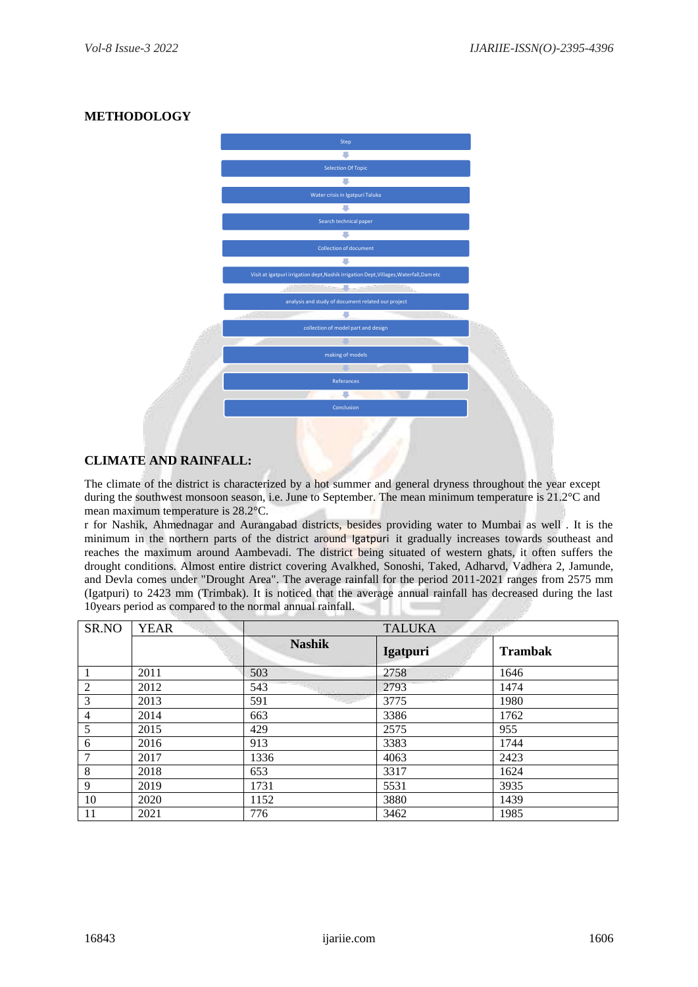# **METHODOLOGY**



### **CLIMATE AND RAINFALL:**

The climate of the district is characterized by a hot summer and general dryness throughout the year except during the southwest monsoon season, i.e. June to September. The mean minimum temperature is 21.2°C and mean maximum temperature is 28.2°C.

r for Nashik, Ahmednagar and Aurangabad districts, besides providing water to Mumbai as well . It is the minimum in the northern parts of the district around Igatpuri it gradually increases towards southeast and reaches the maximum around Aambevadi. The district being situated of western ghats, it often suffers the drought conditions. Almost entire district covering Avalkhed, Sonoshi, Taked, Adharvd, Vadhera 2, Jamunde, and Devla comes under "Drought Area". The average rainfall for the period 2011-2021 ranges from 2575 mm (Igatpuri) to 2423 mm (Trimbak). It is noticed that the average annual rainfall has decreased during the last 10years period as compared to the normal annual rainfall.

| SR.NO          | <b>YEAR</b> | <b>TALUKA</b> |          |                |
|----------------|-------------|---------------|----------|----------------|
|                |             | <b>Nashik</b> | Igatpuri | <b>Trambak</b> |
|                | 2011        | 503           | 2758     | 1646           |
| $\mathfrak{2}$ | 2012        | 543           | 2793     | 1474           |
| 3              | 2013        | 591           | 3775     | 1980           |
| $\overline{4}$ | 2014        | 663           | 3386     | 1762           |
| 5              | 2015        | 429           | 2575     | 955            |
| 6              | 2016        | 913           | 3383     | 1744           |
| 7              | 2017        | 1336          | 4063     | 2423           |
| 8              | 2018        | 653           | 3317     | 1624           |
| 9              | 2019        | 1731          | 5531     | 3935           |
| 10             | 2020        | 1152          | 3880     | 1439           |
| 11             | 2021        | 776           | 3462     | 1985           |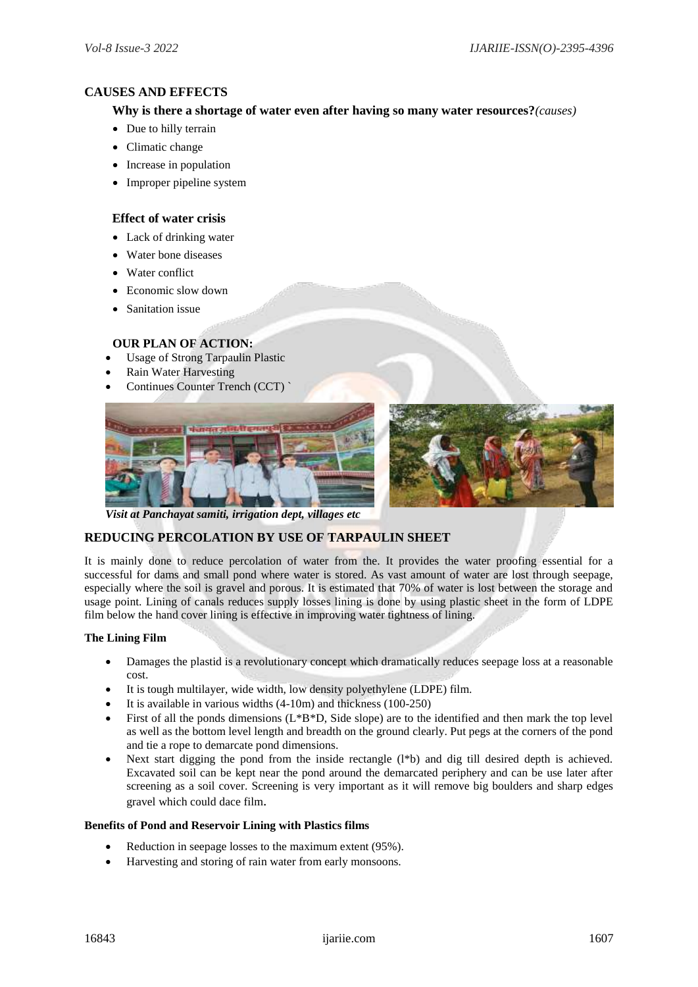#### **CAUSES AND EFFECTS**

#### **Why is there a shortage of water even after having so many water resources?***(causes)*

- Due to hilly terrain
- Climatic change
- Increase in population
- Improper pipeline system

#### **Effect of water crisis**

- Lack of drinking water
- Water bone diseases
- Water conflict
- Economic slow down
- Sanitation issue

#### **OUR PLAN OF ACTION:**

- Usage of Strong Tarpaulin Plastic
- Rain Water Harvesting
- Continues Counter Trench (CCT) `





*Visit at Panchayat samiti, irrigation dept, villages etc*

#### **REDUCING PERCOLATION BY USE OF TARPAULIN SHEET**

It is mainly done to reduce percolation of water from the. It provides the water proofing essential for a successful for dams and small pond where water is stored. As vast amount of water are lost through seepage, especially where the soil is gravel and porous. It is estimated that 70% of water is lost between the storage and usage point. Lining of canals reduces supply losses lining is done by using plastic sheet in the form of LDPE film below the hand cover lining is effective in improving water tightness of lining.

#### **The Lining Film**

- Damages the plastid is a revolutionary concept which dramatically reduces seepage loss at a reasonable cost.
- It is tough multilayer, wide width, low density polyethylene (LDPE) film.
- It is available in various widths (4-10m) and thickness (100-250)
- First of all the ponds dimensions (L\*B\*D, Side slope) are to the identified and then mark the top level as well as the bottom level length and breadth on the ground clearly. Put pegs at the corners of the pond and tie a rope to demarcate pond dimensions.
- Next start digging the pond from the inside rectangle  $(1*)$  and dig till desired depth is achieved. Excavated soil can be kept near the pond around the demarcated periphery and can be use later after screening as a soil cover. Screening is very important as it will remove big boulders and sharp edges gravel which could dace film.

#### **Benefits of Pond and Reservoir Lining with Plastics films**

- Reduction in seepage losses to the maximum extent (95%).
- Harvesting and storing of rain water from early monsoons.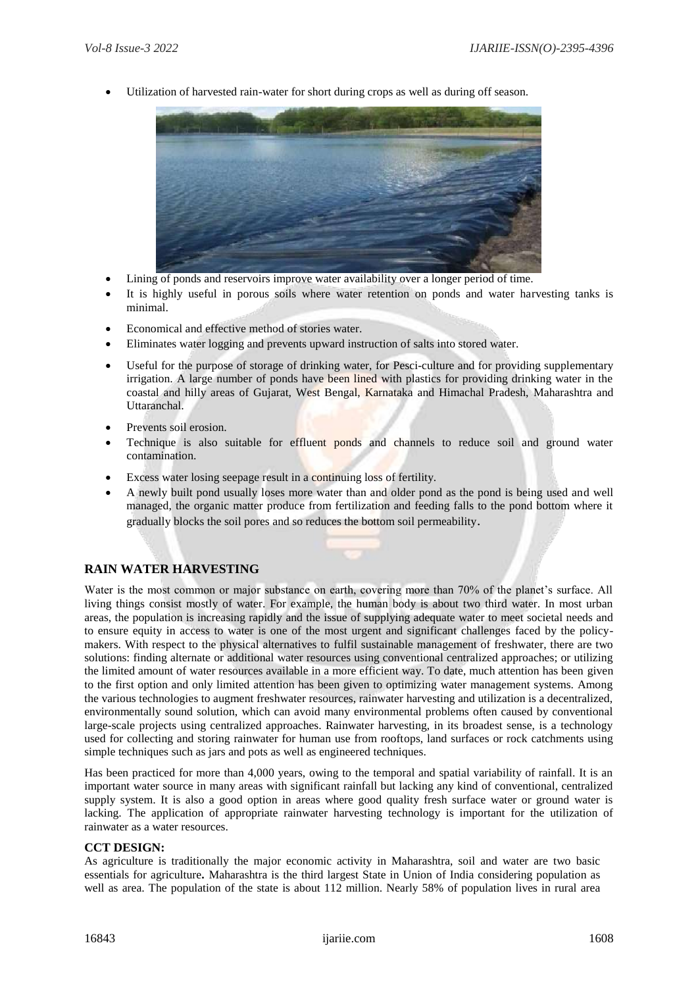Utilization of harvested rain-water for short during crops as well as during off season.



- Lining of ponds and reservoirs improve water availability over a longer period of time.
- It is highly useful in porous soils where water retention on ponds and water harvesting tanks is minimal.
- Economical and effective method of stories water.
- Eliminates water logging and prevents upward instruction of salts into stored water.
- Useful for the purpose of storage of drinking water, for Pesci-culture and for providing supplementary irrigation. A large number of ponds have been lined with plastics for providing drinking water in the coastal and hilly areas of Gujarat, West Bengal, Karnataka and Himachal Pradesh, Maharashtra and Uttaranchal.
- Prevents soil erosion.
- Technique is also suitable for effluent ponds and channels to reduce soil and ground water contamination.
- Excess water losing seepage result in a continuing loss of fertility.
- A newly built pond usually loses more water than and older pond as the pond is being used and well managed, the organic matter produce from fertilization and feeding falls to the pond bottom where it gradually blocks the soil pores and so reduces the bottom soil permeability.

#### **RAIN WATER HARVESTING**

Water is the most common or major substance on earth, covering more than 70% of the planet's surface. All living things consist mostly of water. For example, the human body is about two third water. In most urban areas, the population is increasing rapidly and the issue of supplying adequate water to meet societal needs and to ensure equity in access to water is one of the most urgent and significant challenges faced by the policymakers. With respect to the physical alternatives to fulfil sustainable management of freshwater, there are two solutions: finding alternate or additional water resources using conventional centralized approaches; or utilizing the limited amount of water resources available in a more efficient way. To date, much attention has been given to the first option and only limited attention has been given to optimizing water management systems. Among the various technologies to augment freshwater resources, rainwater harvesting and utilization is a decentralized, environmentally sound solution, which can avoid many environmental problems often caused by conventional large-scale projects using centralized approaches. Rainwater harvesting, in its broadest sense, is a technology used for collecting and storing rainwater for human use from rooftops, land surfaces or rock catchments using simple techniques such as jars and pots as well as engineered techniques.

Has been practiced for more than 4,000 years, owing to the temporal and spatial variability of rainfall. It is an important water source in many areas with significant rainfall but lacking any kind of conventional, centralized supply system. It is also a good option in areas where good quality fresh surface water or ground water is lacking. The application of appropriate rainwater harvesting technology is important for the utilization of rainwater as a water resources.

#### **CCT DESIGN:**

As agriculture is traditionally the major economic activity in Maharashtra, soil and water are two basic essentials for agriculture**.** Maharashtra is the third largest State in Union of India considering population as well as area. The population of the state is about 112 million. Nearly 58% of population lives in rural area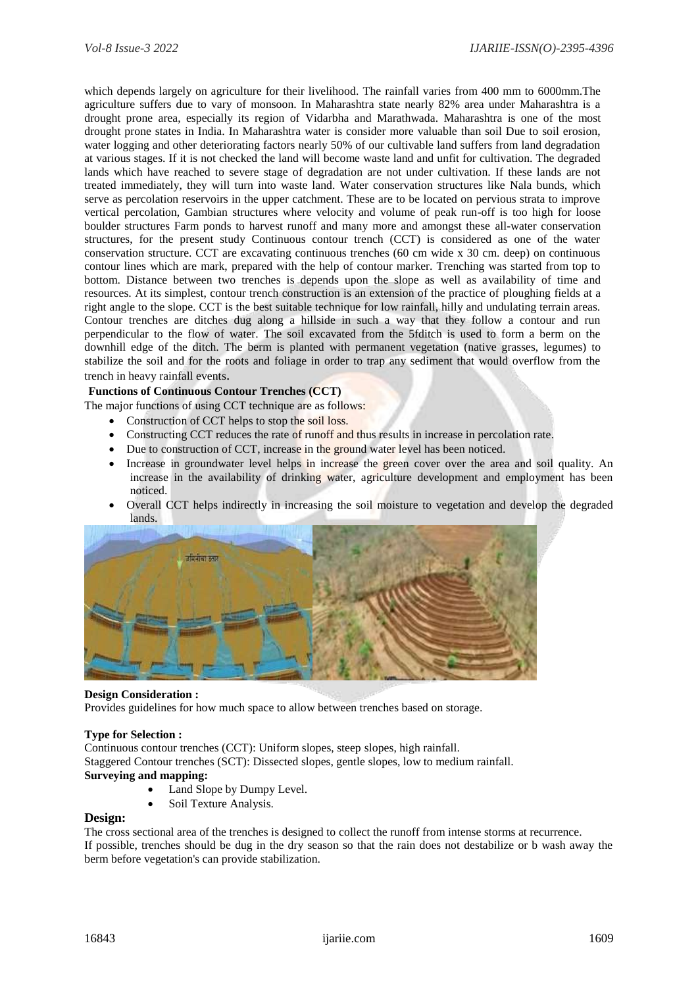which depends largely on agriculture for their livelihood. The rainfall varies from 400 mm to 6000mm.The agriculture suffers due to vary of monsoon. In Maharashtra state nearly 82% area under Maharashtra is a drought prone area, especially its region of Vidarbha and Marathwada. Maharashtra is one of the most drought prone states in India. In Maharashtra water is consider more valuable than soil Due to soil erosion, water logging and other deteriorating factors nearly 50% of our cultivable land suffers from land degradation at various stages. If it is not checked the land will become waste land and unfit for cultivation. The degraded lands which have reached to severe stage of degradation are not under cultivation. If these lands are not treated immediately, they will turn into waste land. Water conservation structures like Nala bunds, which serve as percolation reservoirs in the upper catchment. These are to be located on pervious strata to improve vertical percolation, Gambian structures where velocity and volume of peak run-off is too high for loose boulder structures Farm ponds to harvest runoff and many more and amongst these all-water conservation structures, for the present study Continuous contour trench (CCT) is considered as one of the water conservation structure. CCT are excavating continuous trenches (60 cm wide x 30 cm. deep) on continuous contour lines which are mark, prepared with the help of contour marker. Trenching was started from top to bottom. Distance between two trenches is depends upon the slope as well as availability of time and resources. At its simplest, contour trench construction is an extension of the practice of ploughing fields at a right angle to the slope. CCT is the best suitable technique for low rainfall, hilly and undulating terrain areas. Contour trenches are ditches dug along a hillside in such a way that they follow a contour and run perpendicular to the flow of water. The soil excavated from the 5fditch is used to form a berm on the downhill edge of the ditch. The berm is planted with permanent vegetation (native grasses, legumes) to stabilize the soil and for the roots and foliage in order to trap any sediment that would overflow from the trench in heavy rainfall events.

#### **Functions of Continuous Contour Trenches (CCT)**

The major functions of using CCT technique are as follows:

- Construction of CCT helps to stop the soil loss.
- Constructing CCT reduces the rate of runoff and thus results in increase in percolation rate.
- Due to construction of CCT, increase in the ground water level has been noticed.
- Increase in groundwater level helps in increase the green cover over the area and soil quality. An increase in the availability of drinking water, agriculture development and employment has been noticed.
- Overall CCT helps indirectly in increasing the soil moisture to vegetation and develop the degraded lands.



#### **Design Consideration :**

Provides guidelines for how much space to allow between trenches based on storage.

#### **Type for Selection :**

Continuous contour trenches (CCT): Uniform slopes, steep slopes, high rainfall. Staggered Contour trenches (SCT): Dissected slopes, gentle slopes, low to medium rainfall. **Surveying and mapping:**

- Land Slope by Dumpy Level.
- Soil Texture Analysis.

#### **Design:**

The cross sectional area of the trenches is designed to collect the runoff from intense storms at recurrence. If possible, trenches should be dug in the dry season so that the rain does not destabilize or b wash away the berm before vegetation's can provide stabilization.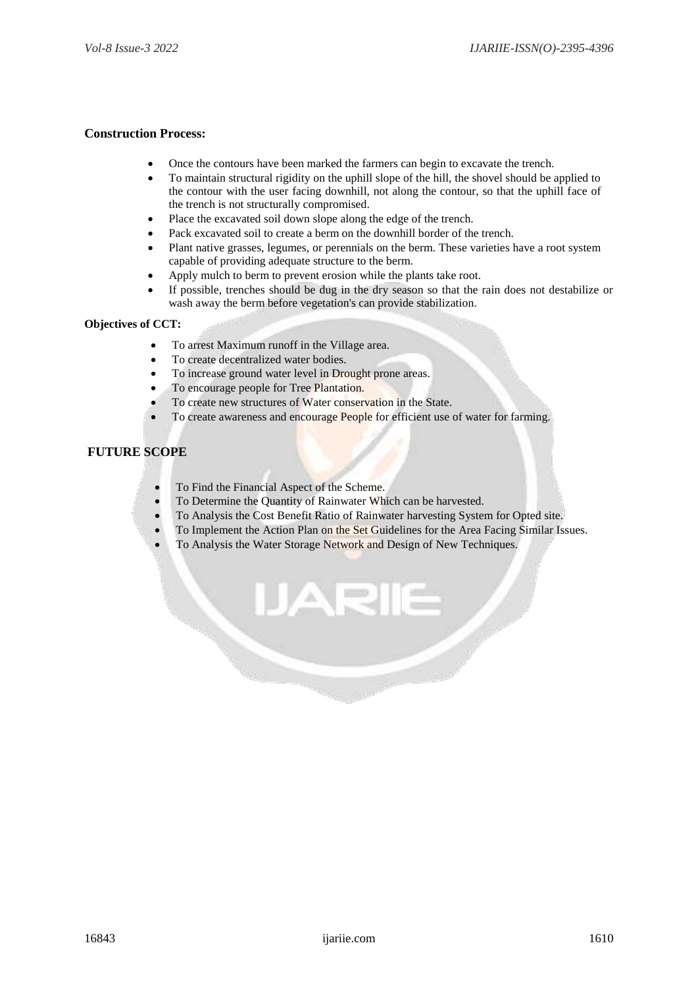#### **Construction Process:**

- Once the contours have been marked the farmers can begin to excavate the trench.
- To maintain structural rigidity on the uphill slope of the hill, the shovel should be applied to the contour with the user facing downhill, not along the contour, so that the uphill face of the trench is not structurally compromised.
- Place the excavated soil down slope along the edge of the trench.
- Pack excavated soil to create a berm on the downhill border of the trench.
- Plant native grasses, legumes, or perennials on the berm. These varieties have a root system capable of providing adequate structure to the berm.
- Apply mulch to berm to prevent erosion while the plants take root.
- If possible, trenches should be dug in the dry season so that the rain does not destabilize or wash away the berm before vegetation's can provide stabilization.

#### **Objectives of CCT:**

- To arrest Maximum runoff in the Village area.
- To create decentralized water bodies.
- To increase ground water level in Drought prone areas.
- To encourage people for Tree Plantation.
	- To create new structures of Water conservation in the State.
- To create awareness and encourage People for efficient use of water for farming.

#### **FUTURE SCOPE**

- To Find the Financial Aspect of the Scheme.
- To Determine the Quantity of Rainwater Which can be harvested.
- To Analysis the Cost Benefit Ratio of Rainwater harvesting System for Opted site.
- To Implement the Action Plan on the Set Guidelines for the Area Facing Similar Issues.
- To Analysis the Water Storage Network and Design of New Techniques.

ALE